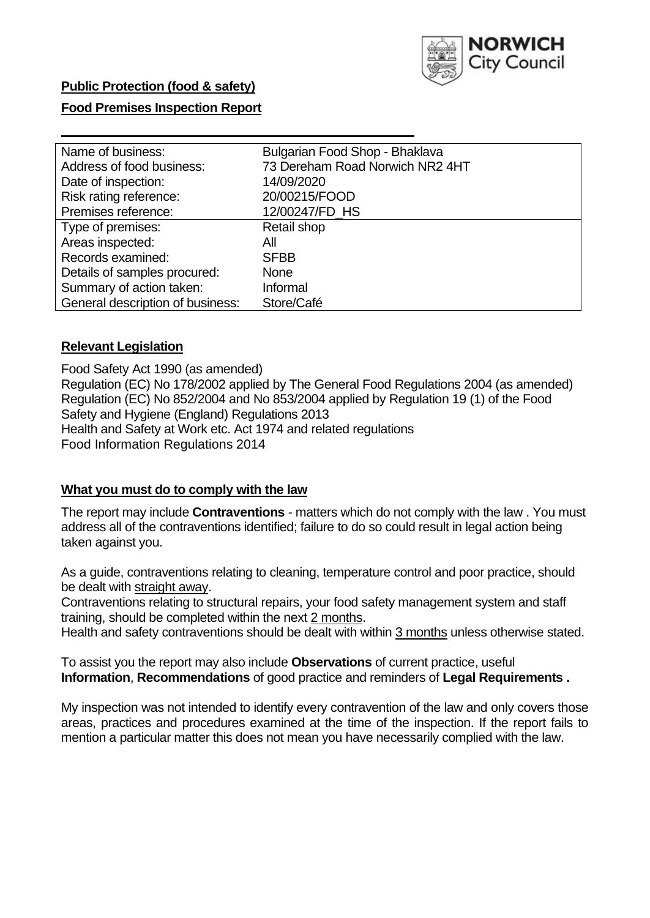

## **Food Premises Inspection Report**

| Name of business:                | Bulgarian Food Shop - Bhaklava  |
|----------------------------------|---------------------------------|
| Address of food business:        | 73 Dereham Road Norwich NR2 4HT |
| Date of inspection:              | 14/09/2020                      |
| Risk rating reference:           | 20/00215/FOOD                   |
| Premises reference:              | 12/00247/FD_HS                  |
| Type of premises:                | Retail shop                     |
| Areas inspected:                 | All                             |
| Records examined:                | <b>SFBB</b>                     |
| Details of samples procured:     | <b>None</b>                     |
| Summary of action taken:         | Informal                        |
| General description of business: | Store/Café                      |

### **Relevant Legislation**

 Food Safety Act 1990 (as amended) Regulation (EC) No 178/2002 applied by The General Food Regulations 2004 (as amended) Regulation (EC) No 852/2004 and No 853/2004 applied by Regulation 19 (1) of the Food Safety and Hygiene (England) Regulations 2013 Health and Safety at Work etc. Act 1974 and related regulations Food Information Regulations 2014

#### **What you must do to comply with the law**

 The report may include **Contraventions** - matters which do not comply with the law . You must address all of the contraventions identified; failure to do so could result in legal action being taken against you.

 As a guide, contraventions relating to cleaning, temperature control and poor practice, should be dealt with straight away.

 Contraventions relating to structural repairs, your food safety management system and staff training, should be completed within the next 2 months.

Health and safety contraventions should be dealt with within 3 months unless otherwise stated.

 To assist you the report may also include **Observations** of current practice, useful **Information**, **Recommendations** of good practice and reminders of **Legal Requirements .** 

 My inspection was not intended to identify every contravention of the law and only covers those areas, practices and procedures examined at the time of the inspection. If the report fails to mention a particular matter this does not mean you have necessarily complied with the law.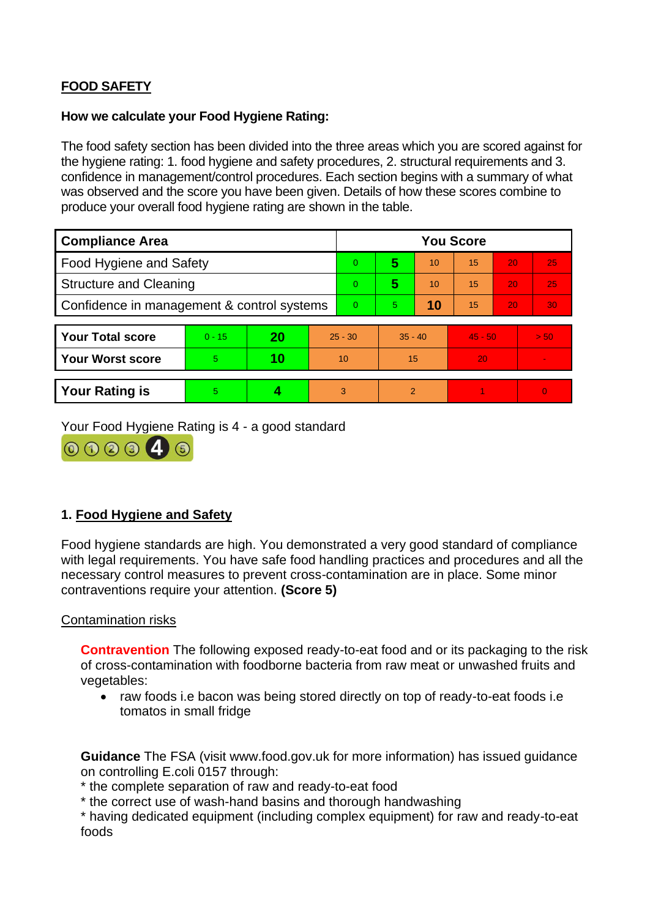# **FOOD SAFETY**

### **How we calculate your Food Hygiene Rating:**

 The food safety section has been divided into the three areas which you are scored against for the hygiene rating: 1. food hygiene and safety procedures, 2. structural requirements and 3. confidence in management/control procedures. Each section begins with a summary of what was observed and the score you have been given. Details of how these scores combine to produce your overall food hygiene rating are shown in the table.

| <b>Compliance Area</b>                     |          |    |           | <b>You Score</b> |                |    |           |    |                |  |  |
|--------------------------------------------|----------|----|-----------|------------------|----------------|----|-----------|----|----------------|--|--|
| Food Hygiene and Safety                    |          |    |           | $\Omega$         | 5              | 10 | 15        | 20 | 25             |  |  |
| <b>Structure and Cleaning</b>              |          |    |           | $\Omega$         | 5              | 10 | 15        | 20 | 25             |  |  |
| Confidence in management & control systems |          |    | $\Omega$  | $\overline{5}$   | 10             | 15 | 20        | 30 |                |  |  |
|                                            |          |    |           |                  |                |    |           |    |                |  |  |
| <b>Your Total score</b>                    | $0 - 15$ | 20 | $25 - 30$ |                  | $35 - 40$      |    | $45 - 50$ |    | > 50           |  |  |
| Your Worst score                           | 5.       | 10 | 10        |                  | 15             |    | 20        |    | $\blacksquare$ |  |  |
|                                            |          |    |           |                  |                |    |           |    |                |  |  |
| <b>Your Rating is</b>                      | 5        |    |           | 3                | $\overline{2}$ |    |           |    | $\Omega$       |  |  |

Your Food Hygiene Rating is 4 - a good standard



# **1. Food Hygiene and Safety**

 with legal requirements. You have safe food handling practices and procedures and all the Food hygiene standards are high. You demonstrated a very good standard of compliance necessary control measures to prevent cross-contamination are in place. Some minor contraventions require your attention. **(Score 5)** 

### Contamination risks

**Contravention** The following exposed ready-to-eat food and or its packaging to the risk of cross-contamination with foodborne bacteria from raw meat or unwashed fruits and vegetables:

• raw foods i.e bacon was being stored directly on top of ready-to-eat foods i.e tomatos in small fridge

 **Guidance** The FSA (visit <www.food.gov.uk> for more information) has issued guidance on controlling E.coli 0157 through:

\* the complete separation of raw and ready-to-eat food

\* the correct use of wash-hand basins and thorough handwashing

\* having dedicated equipment (including complex equipment) for raw and ready-to-eat foods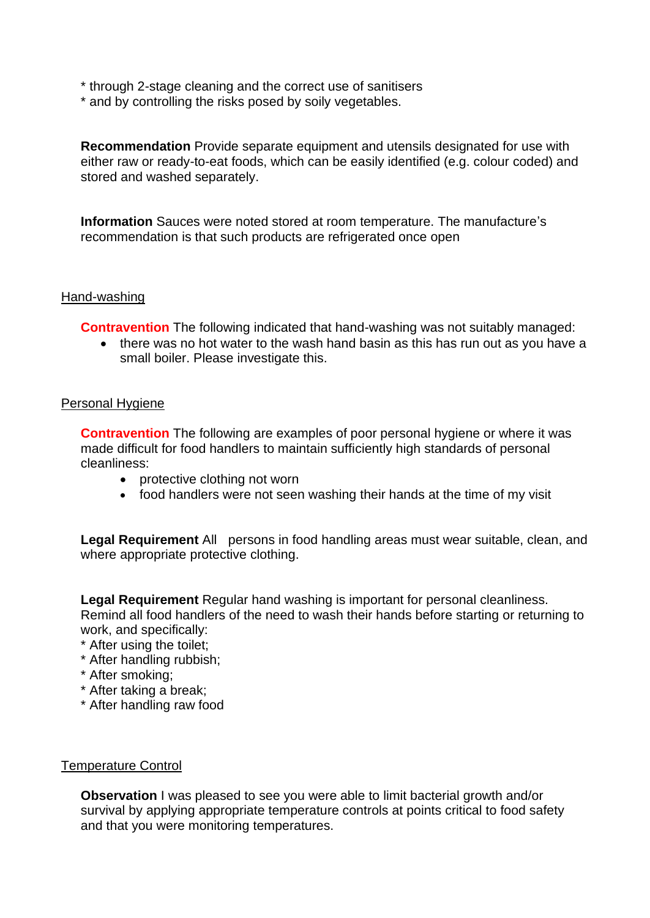- \* through 2-stage cleaning and the correct use of sanitisers
- \* and by controlling the risks posed by soily vegetables.

**Recommendation** Provide separate equipment and utensils designated for use with either raw or ready-to-eat foods, which can be easily identified (e.g. colour coded) and stored and washed separately.

**Information** Sauces were noted stored at room temperature. The manufacture's recommendation is that such products are refrigerated once open

#### Hand-washing

**Contravention** The following indicated that hand-washing was not suitably managed:

 • there was no hot water to the wash hand basin as this has run out as you have a small boiler. Please investigate this.

#### Personal Hygiene

 made difficult for food handlers to maintain sufficiently high standards of personal **Contravention** The following are examples of poor personal hygiene or where it was cleanliness:

- protective clothing not worn
- food handlers were not seen washing their hands at the time of my visit

 **Legal Requirement** All persons in food handling areas must wear suitable, clean, and where appropriate protective clothing.

**Legal Requirement** Regular hand washing is important for personal cleanliness. Remind all food handlers of the need to wash their hands before starting or returning to work, and specifically:

\* After using the toilet;

- \* After handling rubbish;
- \* After smoking;
- \* After taking a break;
- \* After handling raw food

#### Temperature Control

**Observation** I was pleased to see you were able to limit bacterial growth and/or survival by applying appropriate temperature controls at points critical to food safety and that you were monitoring temperatures.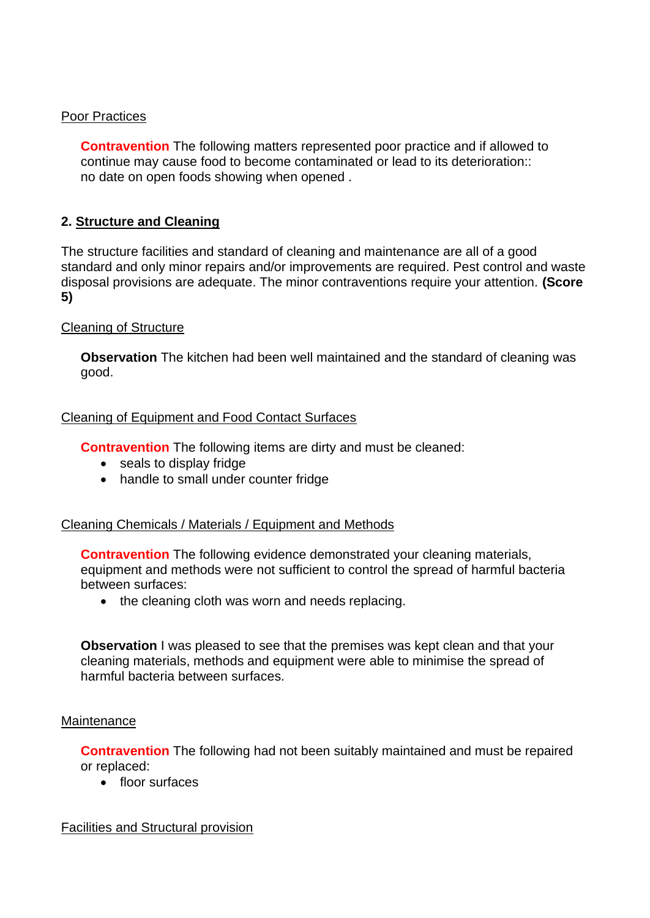### Poor Practices

 **Contravention** The following matters represented poor practice and if allowed to no date on open foods showing when opened . continue may cause food to become contaminated or lead to its deterioration::

### **2. Structure and Cleaning**

 The structure facilities and standard of cleaning and maintenance are all of a good standard and only minor repairs and/or improvements are required. Pest control and waste disposal provisions are adequate. The minor contraventions require your attention. **(Score 5)** 

### Cleaning of Structure

**Observation** The kitchen had been well maintained and the standard of cleaning was good.

### Cleaning of Equipment and Food Contact Surfaces

**Contravention** The following items are dirty and must be cleaned:

- seals to display fridge
- handle to small under counter fridge

### Cleaning Chemicals / Materials / Equipment and Methods

**Contravention** The following evidence demonstrated your cleaning materials, equipment and methods were not sufficient to control the spread of harmful bacteria between surfaces:

• the cleaning cloth was worn and needs replacing.

**Observation** I was pleased to see that the premises was kept clean and that your cleaning materials, methods and equipment were able to minimise the spread of harmful bacteria between surfaces.

#### **Maintenance**

**Contravention** The following had not been suitably maintained and must be repaired or replaced:

• floor surfaces

#### Facilities and Structural provision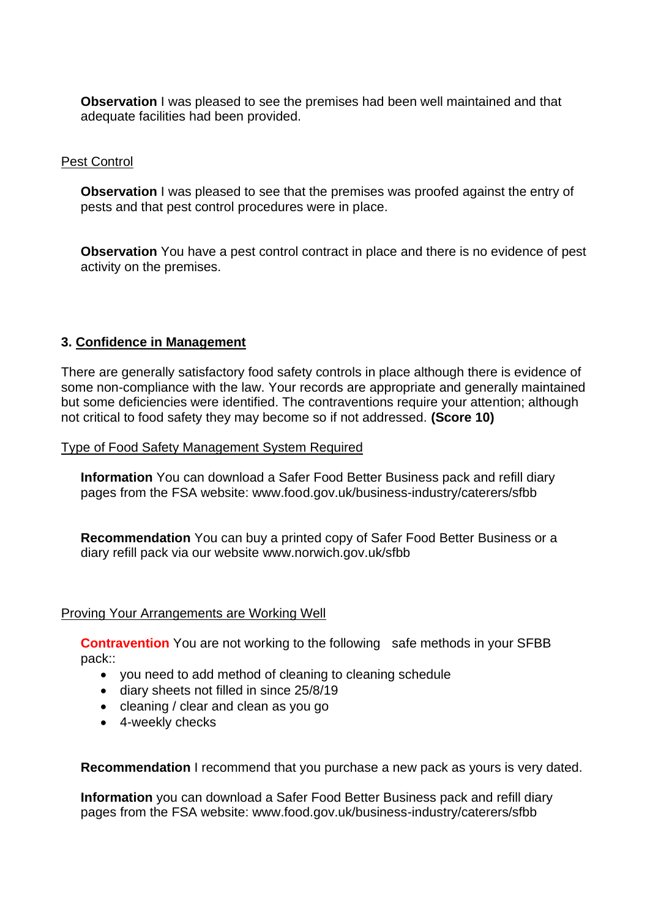**Observation** I was pleased to see the premises had been well maintained and that adequate facilities had been provided.

### Pest Control

**Observation** I was pleased to see that the premises was proofed against the entry of pests and that pest control procedures were in place.

 **Observation** You have a pest control contract in place and there is no evidence of pest activity on the premises.

### **3. Confidence in Management**

 There are generally satisfactory food safety controls in place although there is evidence of some non-compliance with the law. Your records are appropriate and generally maintained but some deficiencies were identified. The contraventions require your attention; although not critical to food safety they may become so if not addressed. **(Score 10)** 

Type of Food Safety Management System Required

**Information** You can download a Safer Food Better Business pack and refill diary pages from the FSA website:<www.food.gov.uk/business-industry/caterers/sfbb>

**Recommendation** You can buy a printed copy of Safer Food Better Business or a diary refill pack via our website <www.norwich.gov.uk/sfbb>

#### Proving Your Arrangements are Working Well

**Contravention** You are not working to the following safe methods in your SFBB pack::

- you need to add method of cleaning to cleaning schedule
- diary sheets not filled in since 25/8/19
- cleaning / clear and clean as you go
- 4-weekly checks

**Recommendation** I recommend that you purchase a new pack as yours is very dated.

 **Information** you can download a Safer Food Better Business pack and refill diary pages from the FSA website:<www.food.gov.uk/business-industry/caterers/sfbb>